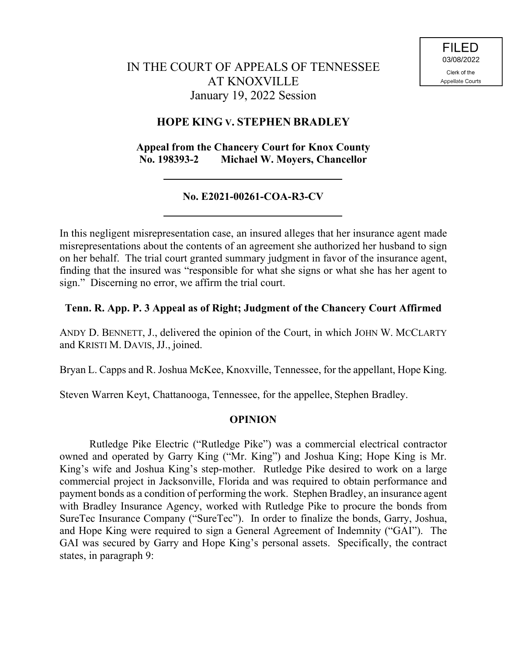# IN THE COURT OF APPEALS OF TENNESSEE AT KNOXVILLE January 19, 2022 Session

# **HOPE KING V. STEPHEN BRADLEY**

## **Appeal from the Chancery Court for Knox County No. 198393-2 Michael W. Moyers, Chancellor**

# **No. E2021-00261-COA-R3-CV**

In this negligent misrepresentation case, an insured alleges that her insurance agent made misrepresentations about the contents of an agreement she authorized her husband to sign on her behalf. The trial court granted summary judgment in favor of the insurance agent, finding that the insured was "responsible for what she signs or what she has her agent to sign." Discerning no error, we affirm the trial court.

## **Tenn. R. App. P. 3 Appeal as of Right; Judgment of the Chancery Court Affirmed**

ANDY D. BENNETT, J., delivered the opinion of the Court, in which JOHN W. MCCLARTY and KRISTI M. DAVIS, JJ., joined.

Bryan L. Capps and R. Joshua McKee, Knoxville, Tennessee, for the appellant, Hope King.

Steven Warren Keyt, Chattanooga, Tennessee, for the appellee, Stephen Bradley.

### **OPINION**

Rutledge Pike Electric ("Rutledge Pike") was a commercial electrical contractor owned and operated by Garry King ("Mr. King") and Joshua King; Hope King is Mr. King's wife and Joshua King's step-mother. Rutledge Pike desired to work on a large commercial project in Jacksonville, Florida and was required to obtain performance and payment bonds as a condition of performing the work. Stephen Bradley, an insurance agent with Bradley Insurance Agency, worked with Rutledge Pike to procure the bonds from SureTec Insurance Company ("SureTec"). In order to finalize the bonds, Garry, Joshua, and Hope King were required to sign a General Agreement of Indemnity ("GAI"). The GAI was secured by Garry and Hope King's personal assets. Specifically, the contract states, in paragraph 9: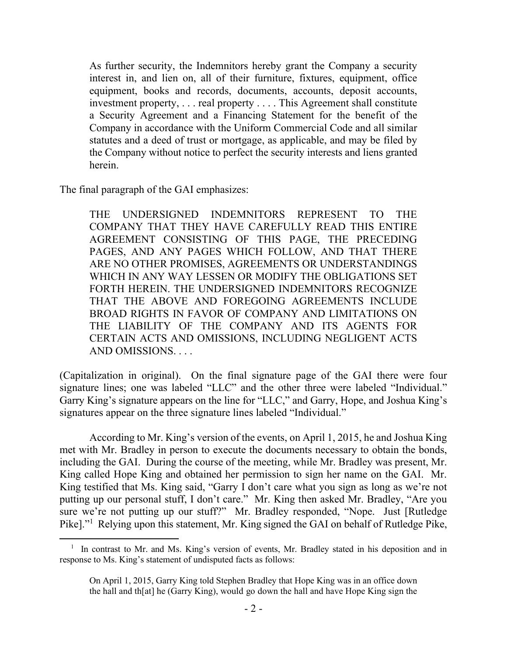As further security, the Indemnitors hereby grant the Company a security interest in, and lien on, all of their furniture, fixtures, equipment, office equipment, books and records, documents, accounts, deposit accounts, investment property, . . . real property . . . . This Agreement shall constitute a Security Agreement and a Financing Statement for the benefit of the Company in accordance with the Uniform Commercial Code and all similar statutes and a deed of trust or mortgage, as applicable, and may be filed by the Company without notice to perfect the security interests and liens granted herein.

The final paragraph of the GAI emphasizes:

 $\overline{a}$ 

THE UNDERSIGNED INDEMNITORS REPRESENT TO THE COMPANY THAT THEY HAVE CAREFULLY READ THIS ENTIRE AGREEMENT CONSISTING OF THIS PAGE, THE PRECEDING PAGES, AND ANY PAGES WHICH FOLLOW, AND THAT THERE ARE NO OTHER PROMISES, AGREEMENTS OR UNDERSTANDINGS WHICH IN ANY WAY LESSEN OR MODIFY THE OBLIGATIONS SET FORTH HEREIN. THE UNDERSIGNED INDEMNITORS RECOGNIZE THAT THE ABOVE AND FOREGOING AGREEMENTS INCLUDE BROAD RIGHTS IN FAVOR OF COMPANY AND LIMITATIONS ON THE LIABILITY OF THE COMPANY AND ITS AGENTS FOR CERTAIN ACTS AND OMISSIONS, INCLUDING NEGLIGENT ACTS AND OMISSIONS. . . .

(Capitalization in original). On the final signature page of the GAI there were four signature lines; one was labeled "LLC" and the other three were labeled "Individual." Garry King's signature appears on the line for "LLC," and Garry, Hope, and Joshua King's signatures appear on the three signature lines labeled "Individual."

According to Mr. King's version of the events, on April 1, 2015, he and Joshua King met with Mr. Bradley in person to execute the documents necessary to obtain the bonds, including the GAI. During the course of the meeting, while Mr. Bradley was present, Mr. King called Hope King and obtained her permission to sign her name on the GAI. Mr. King testified that Ms. King said, "Garry I don't care what you sign as long as we're not putting up our personal stuff, I don't care." Mr. King then asked Mr. Bradley, "Are you sure we're not putting up our stuff?" Mr. Bradley responded, "Nope. Just [Rutledge Pike]."<sup>1</sup> Relying upon this statement, Mr. King signed the GAI on behalf of Rutledge Pike,

<sup>&</sup>lt;sup>1</sup> In contrast to Mr. and Ms. King's version of events, Mr. Bradley stated in his deposition and in response to Ms. King's statement of undisputed facts as follows:

On April 1, 2015, Garry King told Stephen Bradley that Hope King was in an office down the hall and th[at] he (Garry King), would go down the hall and have Hope King sign the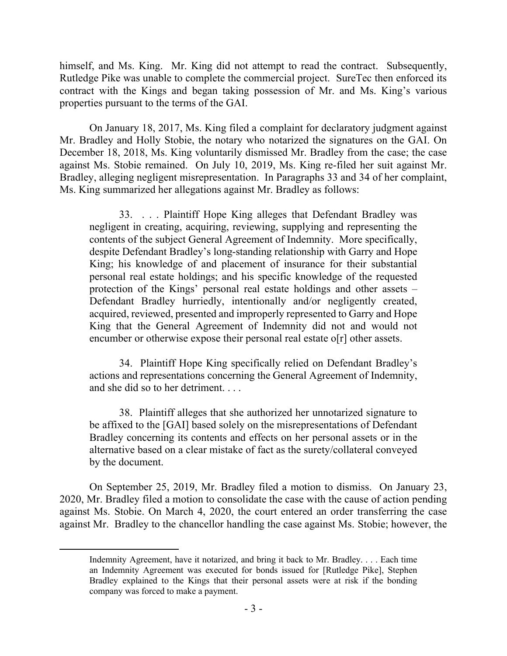himself, and Ms. King. Mr. King did not attempt to read the contract. Subsequently, Rutledge Pike was unable to complete the commercial project. SureTec then enforced its contract with the Kings and began taking possession of Mr. and Ms. King's various properties pursuant to the terms of the GAI.

On January 18, 2017, Ms. King filed a complaint for declaratory judgment against Mr. Bradley and Holly Stobie, the notary who notarized the signatures on the GAI. On December 18, 2018, Ms. King voluntarily dismissed Mr. Bradley from the case; the case against Ms. Stobie remained. On July 10, 2019, Ms. King re-filed her suit against Mr. Bradley, alleging negligent misrepresentation. In Paragraphs 33 and 34 of her complaint, Ms. King summarized her allegations against Mr. Bradley as follows:

33. . . . Plaintiff Hope King alleges that Defendant Bradley was negligent in creating, acquiring, reviewing, supplying and representing the contents of the subject General Agreement of Indemnity. More specifically, despite Defendant Bradley's long-standing relationship with Garry and Hope King; his knowledge of and placement of insurance for their substantial personal real estate holdings; and his specific knowledge of the requested protection of the Kings' personal real estate holdings and other assets – Defendant Bradley hurriedly, intentionally and/or negligently created, acquired, reviewed, presented and improperly represented to Garry and Hope King that the General Agreement of Indemnity did not and would not encumber or otherwise expose their personal real estate o[r] other assets.

34. Plaintiff Hope King specifically relied on Defendant Bradley's actions and representations concerning the General Agreement of Indemnity, and she did so to her detriment. . . .

38. Plaintiff alleges that she authorized her unnotarized signature to be affixed to the [GAI] based solely on the misrepresentations of Defendant Bradley concerning its contents and effects on her personal assets or in the alternative based on a clear mistake of fact as the surety/collateral conveyed by the document.

On September 25, 2019, Mr. Bradley filed a motion to dismiss. On January 23, 2020, Mr. Bradley filed a motion to consolidate the case with the cause of action pending against Ms. Stobie. On March 4, 2020, the court entered an order transferring the case against Mr. Bradley to the chancellor handling the case against Ms. Stobie; however, the

 $\overline{a}$ 

Indemnity Agreement, have it notarized, and bring it back to Mr. Bradley. . . . Each time an Indemnity Agreement was executed for bonds issued for [Rutledge Pike], Stephen Bradley explained to the Kings that their personal assets were at risk if the bonding company was forced to make a payment.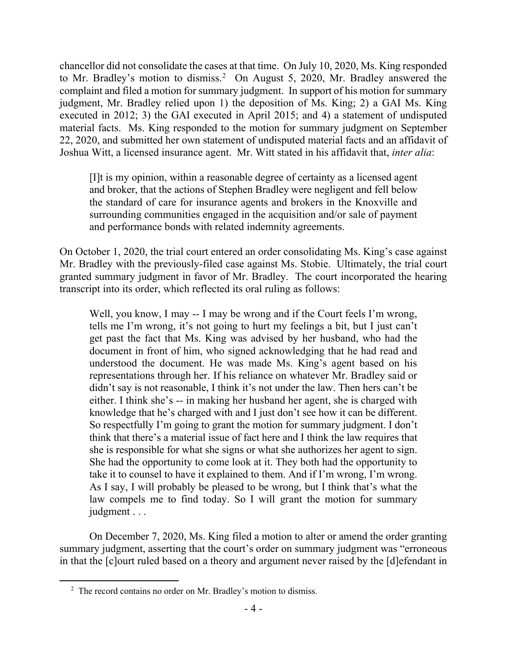chancellor did not consolidate the cases at that time. On July 10, 2020, Ms. King responded to Mr. Bradley's motion to dismiss.<sup>2</sup> On August 5, 2020, Mr. Bradley answered the complaint and filed a motion for summary judgment. In support of his motion for summary judgment, Mr. Bradley relied upon 1) the deposition of Ms. King; 2) a GAI Ms. King executed in 2012; 3) the GAI executed in April 2015; and 4) a statement of undisputed material facts. Ms. King responded to the motion for summary judgment on September 22, 2020, and submitted her own statement of undisputed material facts and an affidavit of Joshua Witt, a licensed insurance agent. Mr. Witt stated in his affidavit that, *inter alia*:

[I]t is my opinion, within a reasonable degree of certainty as a licensed agent and broker, that the actions of Stephen Bradley were negligent and fell below the standard of care for insurance agents and brokers in the Knoxville and surrounding communities engaged in the acquisition and/or sale of payment and performance bonds with related indemnity agreements.

On October 1, 2020, the trial court entered an order consolidating Ms. King's case against Mr. Bradley with the previously-filed case against Ms. Stobie. Ultimately, the trial court granted summary judgment in favor of Mr. Bradley. The court incorporated the hearing transcript into its order, which reflected its oral ruling as follows:

Well, you know, I may -- I may be wrong and if the Court feels I'm wrong, tells me I'm wrong, it's not going to hurt my feelings a bit, but I just can't get past the fact that Ms. King was advised by her husband, who had the document in front of him, who signed acknowledging that he had read and understood the document. He was made Ms. King's agent based on his representations through her. If his reliance on whatever Mr. Bradley said or didn't say is not reasonable, I think it's not under the law. Then hers can't be either. I think she's -- in making her husband her agent, she is charged with knowledge that he's charged with and I just don't see how it can be different. So respectfully I'm going to grant the motion for summary judgment. I don't think that there's a material issue of fact here and I think the law requires that she is responsible for what she signs or what she authorizes her agent to sign. She had the opportunity to come look at it. They both had the opportunity to take it to counsel to have it explained to them. And if I'm wrong, I'm wrong. As I say, I will probably be pleased to be wrong, but I think that's what the law compels me to find today. So I will grant the motion for summary judgment . . .

On December 7, 2020, Ms. King filed a motion to alter or amend the order granting summary judgment, asserting that the court's order on summary judgment was "erroneous in that the [c]ourt ruled based on a theory and argument never raised by the [d]efendant in

 $\overline{a}$ 

 $2^2$  The record contains no order on Mr. Bradley's motion to dismiss.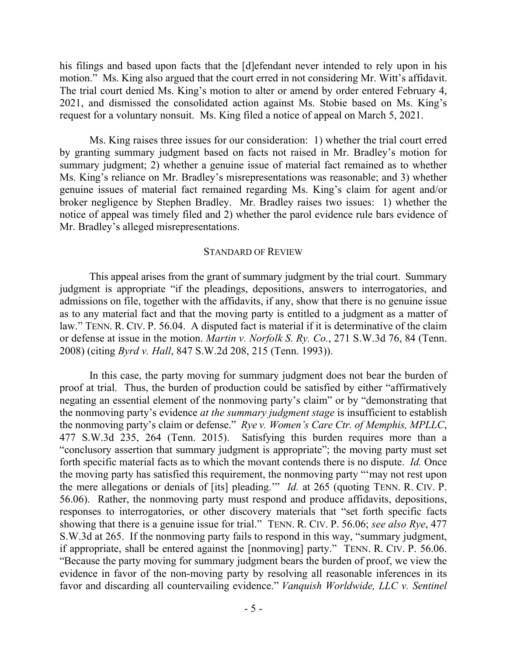his filings and based upon facts that the [d]efendant never intended to rely upon in his motion." Ms. King also argued that the court erred in not considering Mr. Witt's affidavit. The trial court denied Ms. King's motion to alter or amend by order entered February 4, 2021, and dismissed the consolidated action against Ms. Stobie based on Ms. King's request for a voluntary nonsuit. Ms. King filed a notice of appeal on March 5, 2021.

Ms. King raises three issues for our consideration: 1) whether the trial court erred by granting summary judgment based on facts not raised in Mr. Bradley's motion for summary judgment; 2) whether a genuine issue of material fact remained as to whether Ms. King's reliance on Mr. Bradley's misrepresentations was reasonable; and 3) whether genuine issues of material fact remained regarding Ms. King's claim for agent and/or broker negligence by Stephen Bradley. Mr. Bradley raises two issues: 1) whether the notice of appeal was timely filed and 2) whether the parol evidence rule bars evidence of Mr. Bradley's alleged misrepresentations.

#### STANDARD OF REVIEW

This appeal arises from the grant of summary judgment by the trial court. Summary judgment is appropriate "if the pleadings, depositions, answers to interrogatories, and admissions on file, together with the affidavits, if any, show that there is no genuine issue as to any material fact and that the moving party is entitled to a judgment as a matter of law." TENN. R. CIV. P. 56.04. A disputed fact is material if it is determinative of the claim or defense at issue in the motion. *Martin v. Norfolk S. Ry. Co.*, 271 S.W.3d 76, 84 (Tenn. 2008) (citing *Byrd v. Hall*, 847 S.W.2d 208, 215 (Tenn. 1993)).

In this case, the party moving for summary judgment does not bear the burden of proof at trial. Thus, the burden of production could be satisfied by either "affirmatively negating an essential element of the nonmoving party's claim" or by "demonstrating that the nonmoving party's evidence *at the summary judgment stage* is insufficient to establish the nonmoving party's claim or defense." *Rye v. Women's Care Ctr. of Memphis, MPLLC*, 477 S.W.3d 235, 264 (Tenn. 2015). Satisfying this burden requires more than a "conclusory assertion that summary judgment is appropriate"; the moving party must set forth specific material facts as to which the movant contends there is no dispute. *Id.* Once the moving party has satisfied this requirement, the nonmoving party "'may not rest upon the mere allegations or denials of [its] pleading.'" *Id.* at 265 (quoting TENN. R. CIV. P. 56.06). Rather, the nonmoving party must respond and produce affidavits, depositions, responses to interrogatories, or other discovery materials that "set forth specific facts showing that there is a genuine issue for trial." TENN. R. CIV. P. 56.06; *see also Rye*, 477 S.W.3d at 265. If the nonmoving party fails to respond in this way, "summary judgment, if appropriate, shall be entered against the [nonmoving] party." TENN. R. CIV. P. 56.06. "Because the party moving for summary judgment bears the burden of proof, we view the evidence in favor of the non-moving party by resolving all reasonable inferences in its favor and discarding all countervailing evidence." *Vanquish Worldwide, LLC v. Sentinel*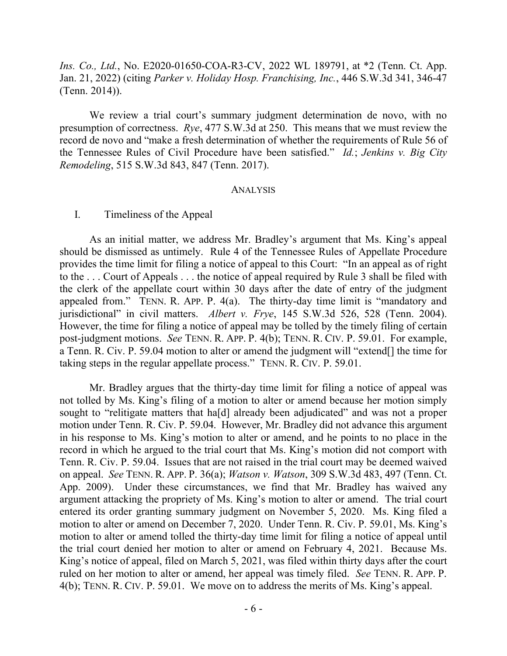*Ins. Co., Ltd.*, No. E2020-01650-COA-R3-CV, 2022 WL 189791, at \*2 (Tenn. Ct. App. Jan. 21, 2022) (citing *Parker v. Holiday Hosp. Franchising, Inc.*, 446 S.W.3d 341, 346-47 (Tenn. 2014)).

We review a trial court's summary judgment determination de novo, with no presumption of correctness. *Rye*, 477 S.W.3d at 250. This means that we must review the record de novo and "make a fresh determination of whether the requirements of Rule 56 of the Tennessee Rules of Civil Procedure have been satisfied." *Id.*; *Jenkins v. Big City Remodeling*, 515 S.W.3d 843, 847 (Tenn. 2017).

#### ANALYSIS

#### I. Timeliness of the Appeal

As an initial matter, we address Mr. Bradley's argument that Ms. King's appeal should be dismissed as untimely. Rule 4 of the Tennessee Rules of Appellate Procedure provides the time limit for filing a notice of appeal to this Court: "In an appeal as of right to the . . . Court of Appeals . . . the notice of appeal required by Rule 3 shall be filed with the clerk of the appellate court within 30 days after the date of entry of the judgment appealed from." TENN. R. APP. P. 4(a). The thirty-day time limit is "mandatory and jurisdictional" in civil matters. *Albert v. Frye*, 145 S.W.3d 526, 528 (Tenn. 2004). However, the time for filing a notice of appeal may be tolled by the timely filing of certain post-judgment motions. *See* TENN. R. APP. P. 4(b); TENN. R. CIV. P. 59.01. For example, a Tenn. R. Civ. P. 59.04 motion to alter or amend the judgment will "extend[] the time for taking steps in the regular appellate process." TENN. R. CIV. P. 59.01.

Mr. Bradley argues that the thirty-day time limit for filing a notice of appeal was not tolled by Ms. King's filing of a motion to alter or amend because her motion simply sought to "relitigate matters that has allergiedly been adjudicated" and was not a proper motion under Tenn. R. Civ. P. 59.04. However, Mr. Bradley did not advance this argument in his response to Ms. King's motion to alter or amend, and he points to no place in the record in which he argued to the trial court that Ms. King's motion did not comport with Tenn. R. Civ. P. 59.04. Issues that are not raised in the trial court may be deemed waived on appeal. *See* TENN. R. APP. P. 36(a); *Watson v. Watson*, 309 S.W.3d 483, 497 (Tenn. Ct. App. 2009). Under these circumstances, we find that Mr. Bradley has waived any argument attacking the propriety of Ms. King's motion to alter or amend. The trial court entered its order granting summary judgment on November 5, 2020. Ms. King filed a motion to alter or amend on December 7, 2020. Under Tenn. R. Civ. P. 59.01, Ms. King's motion to alter or amend tolled the thirty-day time limit for filing a notice of appeal until the trial court denied her motion to alter or amend on February 4, 2021. Because Ms. King's notice of appeal, filed on March 5, 2021, was filed within thirty days after the court ruled on her motion to alter or amend, her appeal was timely filed. *See* TENN. R. APP. P. 4(b); TENN. R. CIV. P. 59.01. We move on to address the merits of Ms. King's appeal.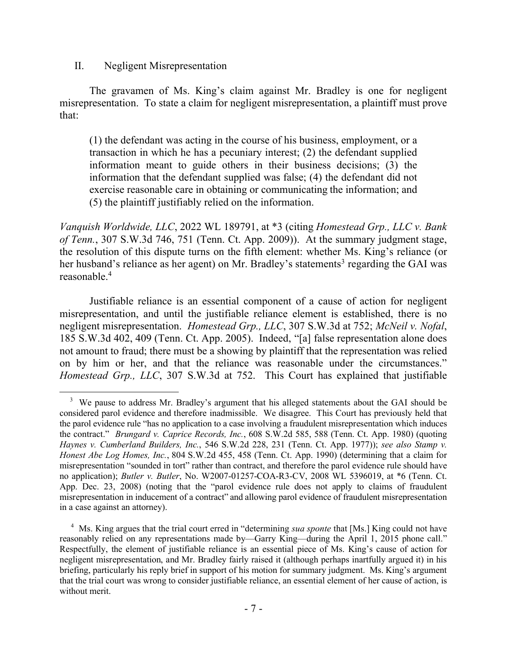II. Negligent Misrepresentation

The gravamen of Ms. King's claim against Mr. Bradley is one for negligent misrepresentation. To state a claim for negligent misrepresentation, a plaintiff must prove that:

(1) the defendant was acting in the course of his business, employment, or a transaction in which he has a pecuniary interest; (2) the defendant supplied information meant to guide others in their business decisions; (3) the information that the defendant supplied was false; (4) the defendant did not exercise reasonable care in obtaining or communicating the information; and (5) the plaintiff justifiably relied on the information.

*Vanquish Worldwide, LLC*, 2022 WL 189791, at \*3 (citing *Homestead Grp., LLC v. Bank of Tenn.*, 307 S.W.3d 746, 751 (Tenn. Ct. App. 2009)). At the summary judgment stage, the resolution of this dispute turns on the fifth element: whether Ms. King's reliance (or her husband's reliance as her agent) on Mr. Bradley's statements<sup>3</sup> regarding the GAI was reasonable.<sup>4</sup>

Justifiable reliance is an essential component of a cause of action for negligent misrepresentation, and until the justifiable reliance element is established, there is no negligent misrepresentation. *Homestead Grp., LLC*, 307 S.W.3d at 752; *McNeil v. Nofal*, 185 S.W.3d 402, 409 (Tenn. Ct. App. 2005). Indeed, "[a] false representation alone does not amount to fraud; there must be a showing by plaintiff that the representation was relied on by him or her, and that the reliance was reasonable under the circumstances." *Homestead Grp., LLC*, 307 S.W.3d at 752. This Court has explained that justifiable

 $3$  We pause to address Mr. Bradley's argument that his alleged statements about the GAI should be considered parol evidence and therefore inadmissible. We disagree. This Court has previously held that the parol evidence rule "has no application to a case involving a fraudulent misrepresentation which induces the contract." *Brungard v. Caprice Records, Inc.*, 608 S.W.2d 585, 588 (Tenn. Ct. App. 1980) (quoting *Haynes v. Cumberland Builders, Inc.*, 546 S.W.2d 228, 231 (Tenn. Ct. App. 1977)); *see also Stamp v. Honest Abe Log Homes, Inc.*, 804 S.W.2d 455, 458 (Tenn. Ct. App. 1990) (determining that a claim for misrepresentation "sounded in tort" rather than contract, and therefore the parol evidence rule should have no application); *Butler v. Butler*, No. W2007-01257-COA-R3-CV, 2008 WL 5396019, at \*6 (Tenn. Ct. App. Dec. 23, 2008) (noting that the "parol evidence rule does not apply to claims of fraudulent misrepresentation in inducement of a contract" and allowing parol evidence of fraudulent misrepresentation in a case against an attorney).

<sup>&</sup>lt;sup>4</sup> Ms. King argues that the trial court erred in "determining *sua sponte* that [Ms.] King could not have reasonably relied on any representations made by—Garry King—during the April 1, 2015 phone call." Respectfully, the element of justifiable reliance is an essential piece of Ms. King's cause of action for negligent misrepresentation, and Mr. Bradley fairly raised it (although perhaps inartfully argued it) in his briefing, particularly his reply brief in support of his motion for summary judgment. Ms. King's argument that the trial court was wrong to consider justifiable reliance, an essential element of her cause of action, is without merit.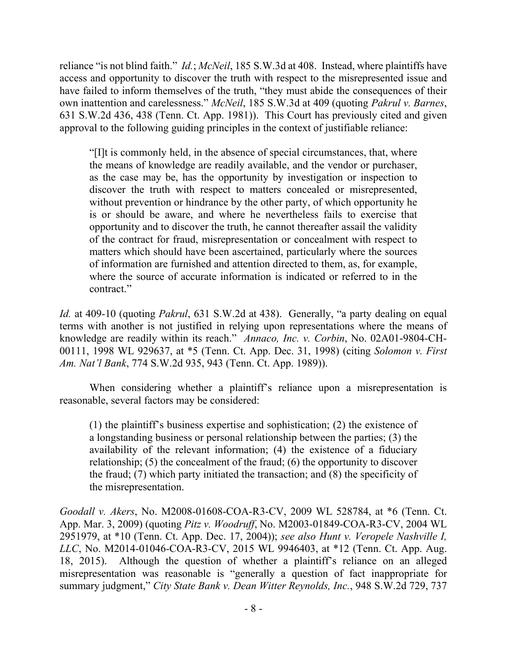reliance "is not blind faith." *Id.*; *McNeil*, 185 S.W.3d at 408. Instead, where plaintiffs have access and opportunity to discover the truth with respect to the misrepresented issue and have failed to inform themselves of the truth, "they must abide the consequences of their own inattention and carelessness." *McNeil*, 185 S.W.3d at 409 (quoting *Pakrul v. Barnes*, 631 S.W.2d 436, 438 (Tenn. Ct. App. 1981)). This Court has previously cited and given approval to the following guiding principles in the context of justifiable reliance:

"[I]t is commonly held, in the absence of special circumstances, that, where the means of knowledge are readily available, and the vendor or purchaser, as the case may be, has the opportunity by investigation or inspection to discover the truth with respect to matters concealed or misrepresented, without prevention or hindrance by the other party, of which opportunity he is or should be aware, and where he nevertheless fails to exercise that opportunity and to discover the truth, he cannot thereafter assail the validity of the contract for fraud, misrepresentation or concealment with respect to matters which should have been ascertained, particularly where the sources of information are furnished and attention directed to them, as, for example, where the source of accurate information is indicated or referred to in the contract."

*Id.* at 409-10 (quoting *Pakrul*, 631 S.W.2d at 438). Generally, "a party dealing on equal terms with another is not justified in relying upon representations where the means of knowledge are readily within its reach." *Annaco, Inc. v. Corbin*, No. 02A01-9804-CH-00111, 1998 WL 929637, at \*5 (Tenn. Ct. App. Dec. 31, 1998) (citing *Solomon v. First Am. Nat'l Bank*, 774 S.W.2d 935, 943 (Tenn. Ct. App. 1989)).

When considering whether a plaintiff's reliance upon a misrepresentation is reasonable, several factors may be considered:

(1) the plaintiff's business expertise and sophistication; (2) the existence of a longstanding business or personal relationship between the parties; (3) the availability of the relevant information; (4) the existence of a fiduciary relationship; (5) the concealment of the fraud; (6) the opportunity to discover the fraud; (7) which party initiated the transaction; and (8) the specificity of the misrepresentation.

*Goodall v. Akers*, No. M2008-01608-COA-R3-CV, 2009 WL 528784, at \*6 (Tenn. Ct. App. Mar. 3, 2009) (quoting *Pitz v. Woodruff*, No. M2003-01849-COA-R3-CV, 2004 WL 2951979, at \*10 (Tenn. Ct. App. Dec. 17, 2004)); *see also Hunt v. Veropele Nashville I, LLC*, No. M2014-01046-COA-R3-CV, 2015 WL 9946403, at \*12 (Tenn. Ct. App. Aug. 18, 2015). Although the question of whether a plaintiff's reliance on an alleged misrepresentation was reasonable is "generally a question of fact inappropriate for summary judgment," *City State Bank v. Dean Witter Reynolds, Inc.*, 948 S.W.2d 729, 737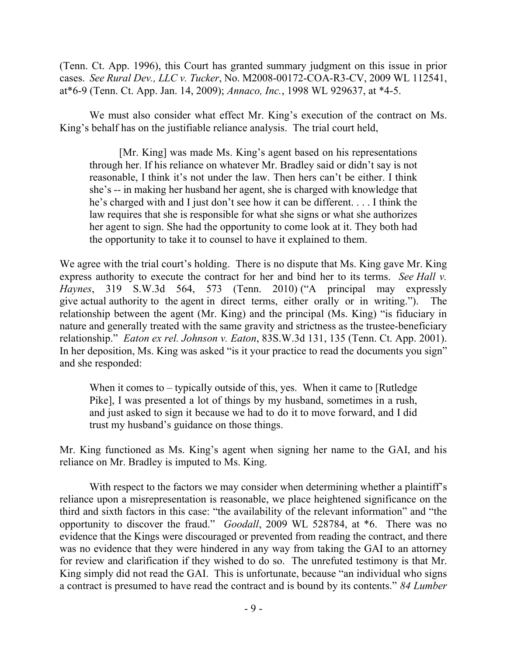(Tenn. Ct. App. 1996), this Court has granted summary judgment on this issue in prior cases. *See Rural Dev., LLC v. Tucker*, No. M2008-00172-COA-R3-CV, 2009 WL 112541, at\*6-9 (Tenn. Ct. App. Jan. 14, 2009); *Annaco, Inc.*, 1998 WL 929637, at \*4-5.

We must also consider what effect Mr. King's execution of the contract on Ms. King's behalf has on the justifiable reliance analysis. The trial court held,

[Mr. King] was made Ms. King's agent based on his representations through her. If his reliance on whatever Mr. Bradley said or didn't say is not reasonable, I think it's not under the law. Then hers can't be either. I think she's -- in making her husband her agent, she is charged with knowledge that he's charged with and I just don't see how it can be different. . . . I think the law requires that she is responsible for what she signs or what she authorizes her agent to sign. She had the opportunity to come look at it. They both had the opportunity to take it to counsel to have it explained to them.

We agree with the trial court's holding. There is no dispute that Ms. King gave Mr. King express authority to execute the contract for her and bind her to its terms. *See Hall v. Haynes*, 319 S.W.3d 564, 573 (Tenn. 2010) ("A principal may expressly give actual authority to the agent in direct terms, either orally or in writing."). The relationship between the agent (Mr. King) and the principal (Ms. King) "is fiduciary in nature and generally treated with the same gravity and strictness as the trustee-beneficiary relationship." *Eaton ex rel. Johnson v. Eaton*, 83S.W.3d 131, 135 (Tenn. Ct. App. 2001). In her deposition, Ms. King was asked "is it your practice to read the documents you sign" and she responded:

When it comes to – typically outside of this, yes. When it came to [Rutledge] Pike], I was presented a lot of things by my husband, sometimes in a rush, and just asked to sign it because we had to do it to move forward, and I did trust my husband's guidance on those things.

Mr. King functioned as Ms. King's agent when signing her name to the GAI, and his reliance on Mr. Bradley is imputed to Ms. King.

With respect to the factors we may consider when determining whether a plaintiff's reliance upon a misrepresentation is reasonable, we place heightened significance on the third and sixth factors in this case: "the availability of the relevant information" and "the opportunity to discover the fraud." *Goodall*, 2009 WL 528784, at \*6. There was no evidence that the Kings were discouraged or prevented from reading the contract, and there was no evidence that they were hindered in any way from taking the GAI to an attorney for review and clarification if they wished to do so. The unrefuted testimony is that Mr. King simply did not read the GAI. This is unfortunate, because "an individual who signs a contract is presumed to have read the contract and is bound by its contents." *84 Lumber*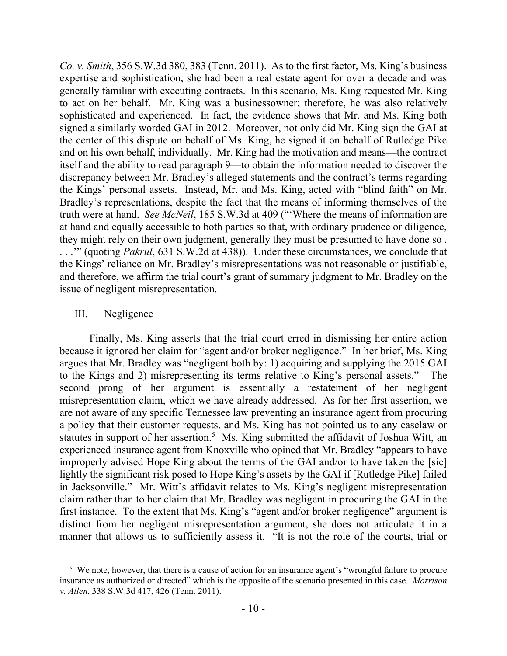*Co. v. Smith*, 356 S.W.3d 380, 383 (Tenn. 2011). As to the first factor, Ms. King's business expertise and sophistication, she had been a real estate agent for over a decade and was generally familiar with executing contracts. In this scenario, Ms. King requested Mr. King to act on her behalf. Mr. King was a businessowner; therefore, he was also relatively sophisticated and experienced. In fact, the evidence shows that Mr. and Ms. King both signed a similarly worded GAI in 2012. Moreover, not only did Mr. King sign the GAI at the center of this dispute on behalf of Ms. King, he signed it on behalf of Rutledge Pike and on his own behalf, individually. Mr. King had the motivation and means—the contract itself and the ability to read paragraph 9—to obtain the information needed to discover the discrepancy between Mr. Bradley's alleged statements and the contract's terms regarding the Kings' personal assets. Instead, Mr. and Ms. King, acted with "blind faith" on Mr. Bradley's representations, despite the fact that the means of informing themselves of the truth were at hand. *See McNeil*, 185 S.W.3d at 409 ("'Where the means of information are at hand and equally accessible to both parties so that, with ordinary prudence or diligence, they might rely on their own judgment, generally they must be presumed to have done so . . . .'" (quoting *Pakrul*, 631 S.W.2d at 438)). Under these circumstances, we conclude that the Kings' reliance on Mr. Bradley's misrepresentations was not reasonable or justifiable, and therefore, we affirm the trial court's grant of summary judgment to Mr. Bradley on the issue of negligent misrepresentation.

### III. Negligence

 $\overline{a}$ 

Finally, Ms. King asserts that the trial court erred in dismissing her entire action because it ignored her claim for "agent and/or broker negligence." In her brief, Ms. King argues that Mr. Bradley was "negligent both by: 1) acquiring and supplying the 2015 GAI to the Kings and 2) misrepresenting its terms relative to King's personal assets." The second prong of her argument is essentially a restatement of her negligent misrepresentation claim, which we have already addressed. As for her first assertion, we are not aware of any specific Tennessee law preventing an insurance agent from procuring a policy that their customer requests, and Ms. King has not pointed us to any caselaw or statutes in support of her assertion.<sup>5</sup> Ms. King submitted the affidavit of Joshua Witt, an experienced insurance agent from Knoxville who opined that Mr. Bradley "appears to have improperly advised Hope King about the terms of the GAI and/or to have taken the [sic] lightly the significant risk posed to Hope King's assets by the GAI if [Rutledge Pike] failed in Jacksonville." Mr. Witt's affidavit relates to Ms. King's negligent misrepresentation claim rather than to her claim that Mr. Bradley was negligent in procuring the GAI in the first instance. To the extent that Ms. King's "agent and/or broker negligence" argument is distinct from her negligent misrepresentation argument, she does not articulate it in a manner that allows us to sufficiently assess it. "It is not the role of the courts, trial or

<sup>&</sup>lt;sup>5</sup> We note, however, that there is a cause of action for an insurance agent's "wrongful failure to procure insurance as authorized or directed" which is the opposite of the scenario presented in this case. *Morrison v. Allen*, 338 S.W.3d 417, 426 (Tenn. 2011).